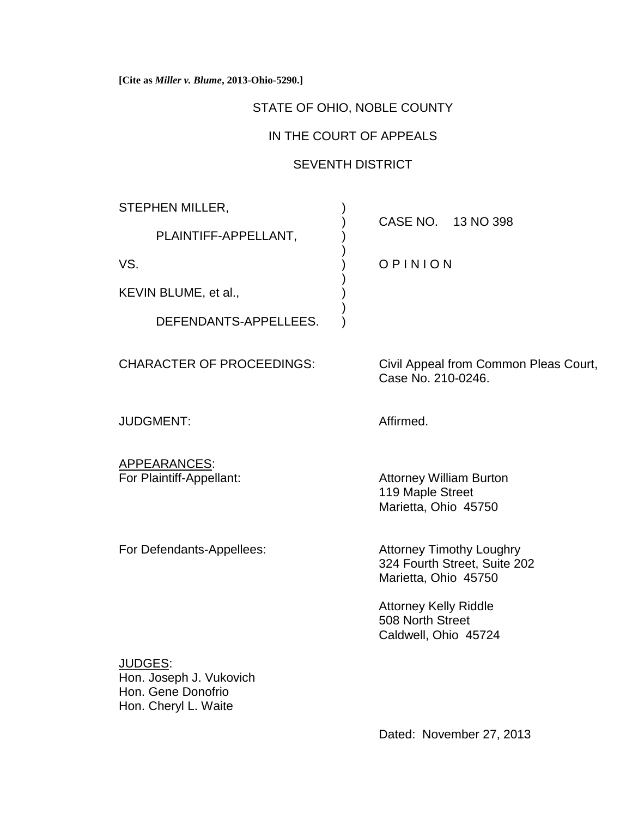**[Cite as** *Miller v. Blume***, 2013-Ohio-5290.]**

## STATE OF OHIO, NOBLE COUNTY

# IN THE COURT OF APPEALS

# SEVENTH DISTRICT

)

)

)

STEPHEN MILLER,

PLAINTIFF-APPELLANT,

KEVIN BLUME, et al.,  $\qquad \qquad$ )

DEFENDANTS-APPELLEES.

JUDGMENT: Affirmed.

APPEARANCES:

) CASE NO. 13 NO 398

VS.  $V$ S. (VS.  $V$  ) OPINION

CHARACTER OF PROCEEDINGS: Civil Appeal from Common Pleas Court, Case No. 210-0246.

For Plaintiff-Appellant: Attorney William Burton 119 Maple Street Marietta, Ohio 45750

For Defendants-Appellees: Attorney Timothy Loughry

324 Fourth Street, Suite 202 Marietta, Ohio 45750

Attorney Kelly Riddle 508 North Street Caldwell, Ohio 45724

JUDGES: Hon. Joseph J. Vukovich Hon. Gene Donofrio Hon. Cheryl L. Waite

Dated: November 27, 2013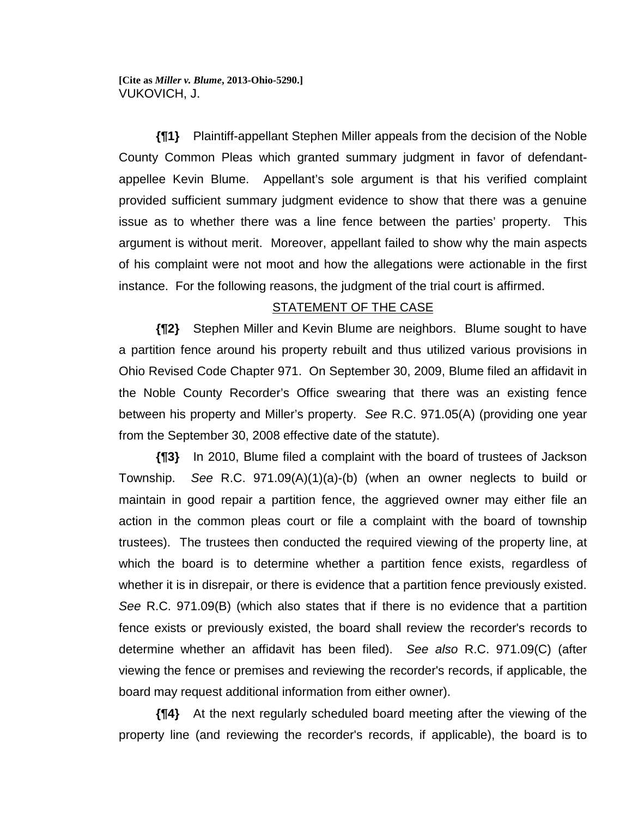**[Cite as** *Miller v. Blume***, 2013-Ohio-5290.]** VUKOVICH, J.

**{¶1}** Plaintiff-appellant Stephen Miller appeals from the decision of the Noble County Common Pleas which granted summary judgment in favor of defendantappellee Kevin Blume. Appellant's sole argument is that his verified complaint provided sufficient summary judgment evidence to show that there was a genuine issue as to whether there was a line fence between the parties' property. This argument is without merit. Moreover, appellant failed to show why the main aspects of his complaint were not moot and how the allegations were actionable in the first instance. For the following reasons, the judgment of the trial court is affirmed.

### STATEMENT OF THE CASE

**{¶2}** Stephen Miller and Kevin Blume are neighbors. Blume sought to have a partition fence around his property rebuilt and thus utilized various provisions in Ohio Revised Code Chapter 971. On September 30, 2009, Blume filed an affidavit in the Noble County Recorder's Office swearing that there was an existing fence between his property and Miller's property. *See* R.C. 971.05(A) (providing one year from the September 30, 2008 effective date of the statute).

**{¶3}** In 2010, Blume filed a complaint with the board of trustees of Jackson Township. *See* R.C. 971.09(A)(1)(a)-(b) (when an owner neglects to build or maintain in good repair a partition fence, the aggrieved owner may either file an action in the common pleas court or file a complaint with the board of township trustees). The trustees then conducted the required viewing of the property line, at which the board is to determine whether a partition fence exists, regardless of whether it is in disrepair, or there is evidence that a partition fence previously existed. *See* R.C. 971.09(B) (which also states that if there is no evidence that a partition fence exists or previously existed, the board shall review the recorder's records to determine whether an affidavit has been filed). *See also* R.C. 971.09(C) (after viewing the fence or premises and reviewing the recorder's records, if applicable, the board may request additional information from either owner).

**{¶4}** At the next regularly scheduled board meeting after the viewing of the property line (and reviewing the recorder's records, if applicable), the board is to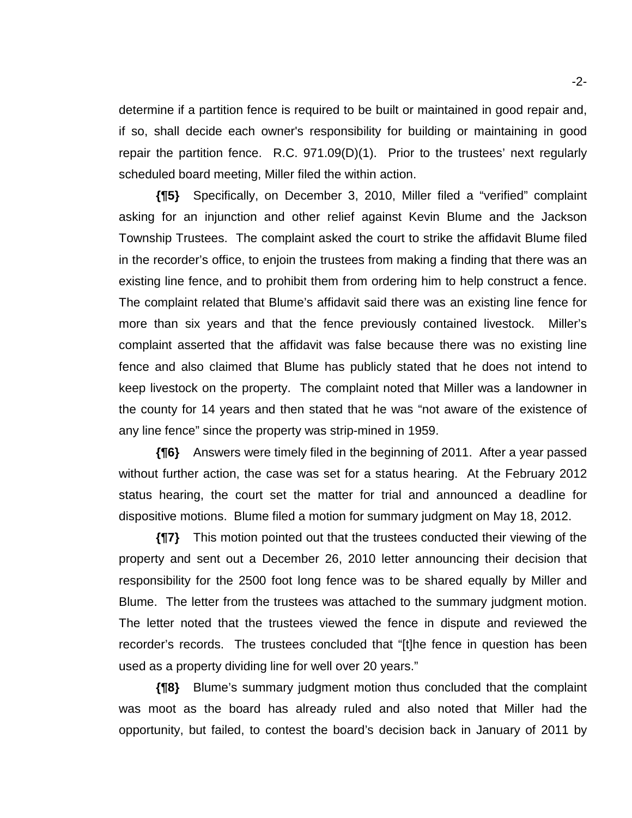determine if a partition fence is required to be built or maintained in good repair and, if so, shall decide each owner's responsibility for building or maintaining in good repair the partition fence. R.C. 971.09(D)(1). Prior to the trustees' next regularly scheduled board meeting, Miller filed the within action.

**{¶5}** Specifically, on December 3, 2010, Miller filed a "verified" complaint asking for an injunction and other relief against Kevin Blume and the Jackson Township Trustees. The complaint asked the court to strike the affidavit Blume filed in the recorder's office, to enjoin the trustees from making a finding that there was an existing line fence, and to prohibit them from ordering him to help construct a fence. The complaint related that Blume's affidavit said there was an existing line fence for more than six years and that the fence previously contained livestock. Miller's complaint asserted that the affidavit was false because there was no existing line fence and also claimed that Blume has publicly stated that he does not intend to keep livestock on the property. The complaint noted that Miller was a landowner in the county for 14 years and then stated that he was "not aware of the existence of any line fence" since the property was strip-mined in 1959.

**{¶6}** Answers were timely filed in the beginning of 2011. After a year passed without further action, the case was set for a status hearing. At the February 2012 status hearing, the court set the matter for trial and announced a deadline for dispositive motions. Blume filed a motion for summary judgment on May 18, 2012.

**{¶7}** This motion pointed out that the trustees conducted their viewing of the property and sent out a December 26, 2010 letter announcing their decision that responsibility for the 2500 foot long fence was to be shared equally by Miller and Blume. The letter from the trustees was attached to the summary judgment motion. The letter noted that the trustees viewed the fence in dispute and reviewed the recorder's records. The trustees concluded that "[t]he fence in question has been used as a property dividing line for well over 20 years."

**{¶8}** Blume's summary judgment motion thus concluded that the complaint was moot as the board has already ruled and also noted that Miller had the opportunity, but failed, to contest the board's decision back in January of 2011 by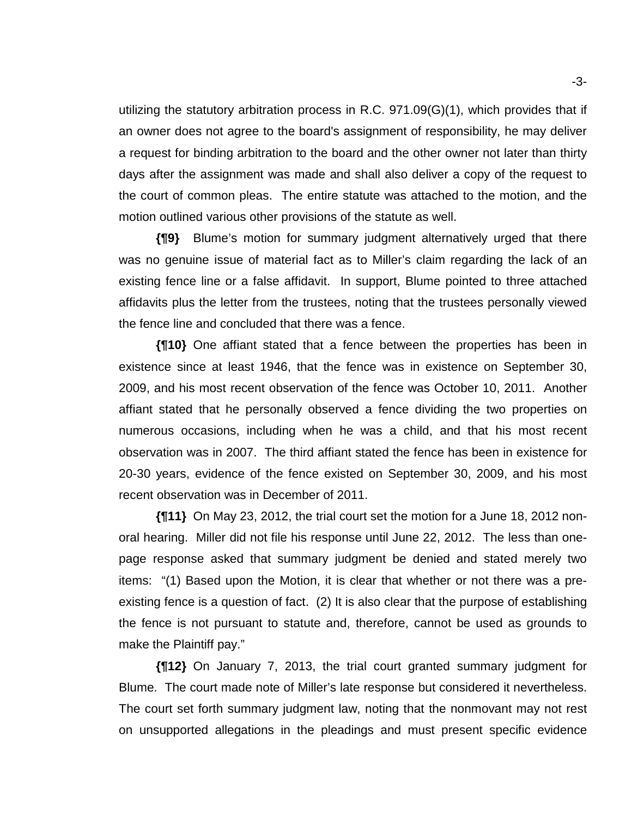utilizing the statutory arbitration process in R.C. 971.09(G)(1), which provides that if an owner does not agree to the board's assignment of responsibility, he may deliver a request for binding arbitration to the board and the other owner not later than thirty days after the assignment was made and shall also deliver a copy of the request to the court of common pleas. The entire statute was attached to the motion, and the motion outlined various other provisions of the statute as well.

**{¶9}** Blume's motion for summary judgment alternatively urged that there was no genuine issue of material fact as to Miller's claim regarding the lack of an existing fence line or a false affidavit. In support, Blume pointed to three attached affidavits plus the letter from the trustees, noting that the trustees personally viewed the fence line and concluded that there was a fence.

**{¶10}** One affiant stated that a fence between the properties has been in existence since at least 1946, that the fence was in existence on September 30, 2009, and his most recent observation of the fence was October 10, 2011. Another affiant stated that he personally observed a fence dividing the two properties on numerous occasions, including when he was a child, and that his most recent observation was in 2007. The third affiant stated the fence has been in existence for 20-30 years, evidence of the fence existed on September 30, 2009, and his most recent observation was in December of 2011.

**{¶11}** On May 23, 2012, the trial court set the motion for a June 18, 2012 nonoral hearing. Miller did not file his response until June 22, 2012. The less than onepage response asked that summary judgment be denied and stated merely two items: "(1) Based upon the Motion, it is clear that whether or not there was a preexisting fence is a question of fact. (2) It is also clear that the purpose of establishing the fence is not pursuant to statute and, therefore, cannot be used as grounds to make the Plaintiff pay."

**{¶12}** On January 7, 2013, the trial court granted summary judgment for Blume. The court made note of Miller's late response but considered it nevertheless. The court set forth summary judgment law, noting that the nonmovant may not rest on unsupported allegations in the pleadings and must present specific evidence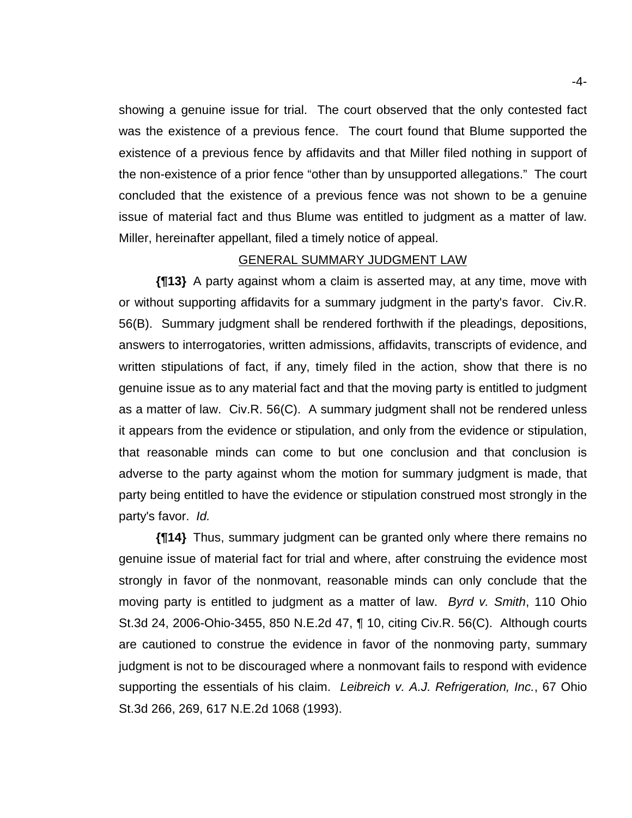showing a genuine issue for trial. The court observed that the only contested fact was the existence of a previous fence. The court found that Blume supported the existence of a previous fence by affidavits and that Miller filed nothing in support of the non-existence of a prior fence "other than by unsupported allegations." The court concluded that the existence of a previous fence was not shown to be a genuine issue of material fact and thus Blume was entitled to judgment as a matter of law. Miller, hereinafter appellant, filed a timely notice of appeal.

#### GENERAL SUMMARY JUDGMENT LAW

**{¶13}** A party against whom a claim is asserted may, at any time, move with or without supporting affidavits for a summary judgment in the party's favor. Civ.R. 56(B). Summary judgment shall be rendered forthwith if the pleadings, depositions, answers to interrogatories, written admissions, affidavits, transcripts of evidence, and written stipulations of fact, if any, timely filed in the action, show that there is no genuine issue as to any material fact and that the moving party is entitled to judgment as a matter of law. Civ.R. 56(C). A summary judgment shall not be rendered unless it appears from the evidence or stipulation, and only from the evidence or stipulation, that reasonable minds can come to but one conclusion and that conclusion is adverse to the party against whom the motion for summary judgment is made, that party being entitled to have the evidence or stipulation construed most strongly in the party's favor. *Id.*

**{¶14}** Thus, summary judgment can be granted only where there remains no genuine issue of material fact for trial and where, after construing the evidence most strongly in favor of the nonmovant, reasonable minds can only conclude that the moving party is entitled to judgment as a matter of law. *Byrd v. Smith*, 110 Ohio St.3d 24, 2006-Ohio-3455, 850 N.E.2d 47, ¶ 10, citing Civ.R. 56(C). Although courts are cautioned to construe the evidence in favor of the nonmoving party, summary judgment is not to be discouraged where a nonmovant fails to respond with evidence supporting the essentials of his claim. *Leibreich v. A.J. Refrigeration, Inc.*, 67 Ohio St.3d 266, 269, 617 N.E.2d 1068 (1993).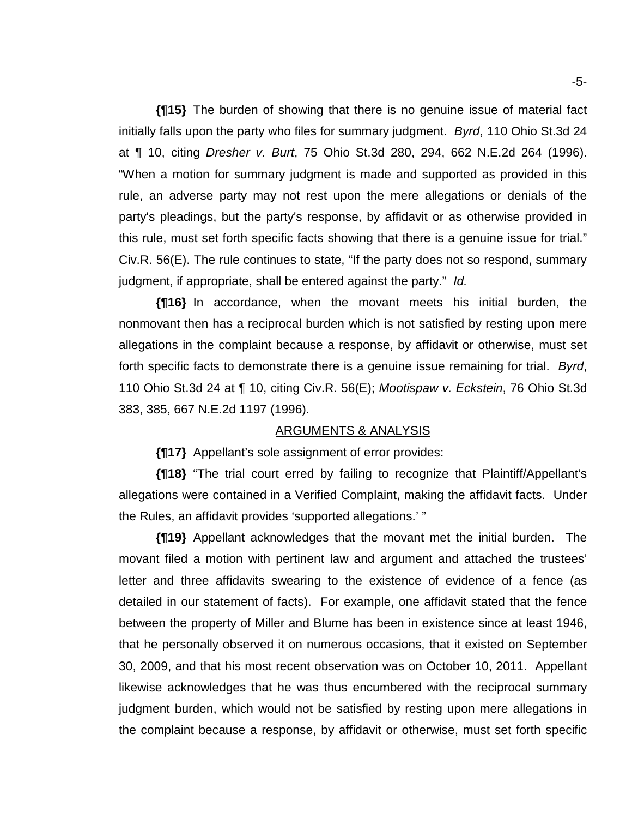**{¶15}** The burden of showing that there is no genuine issue of material fact initially falls upon the party who files for summary judgment. *Byrd*, 110 Ohio St.3d 24 at ¶ 10, citing *Dresher v. Burt*, 75 Ohio St.3d 280, 294, 662 N.E.2d 264 (1996). "When a motion for summary judgment is made and supported as provided in this rule, an adverse party may not rest upon the mere allegations or denials of the party's pleadings, but the party's response, by affidavit or as otherwise provided in this rule, must set forth specific facts showing that there is a genuine issue for trial." Civ.R. 56(E). The rule continues to state, "If the party does not so respond, summary judgment, if appropriate, shall be entered against the party." *Id.*

**{¶16}** In accordance, when the movant meets his initial burden, the nonmovant then has a reciprocal burden which is not satisfied by resting upon mere allegations in the complaint because a response, by affidavit or otherwise, must set forth specific facts to demonstrate there is a genuine issue remaining for trial. *Byrd*, 110 Ohio St.3d 24 at ¶ 10, citing Civ.R. 56(E); *Mootispaw v. Eckstein*, 76 Ohio St.3d 383, 385, 667 N.E.2d 1197 (1996).

#### ARGUMENTS & ANALYSIS

**{¶17}** Appellant's sole assignment of error provides:

**{¶18}** "The trial court erred by failing to recognize that Plaintiff/Appellant's allegations were contained in a Verified Complaint, making the affidavit facts. Under the Rules, an affidavit provides 'supported allegations.' "

**{¶19}** Appellant acknowledges that the movant met the initial burden. The movant filed a motion with pertinent law and argument and attached the trustees' letter and three affidavits swearing to the existence of evidence of a fence (as detailed in our statement of facts). For example, one affidavit stated that the fence between the property of Miller and Blume has been in existence since at least 1946, that he personally observed it on numerous occasions, that it existed on September 30, 2009, and that his most recent observation was on October 10, 2011. Appellant likewise acknowledges that he was thus encumbered with the reciprocal summary judgment burden, which would not be satisfied by resting upon mere allegations in the complaint because a response, by affidavit or otherwise, must set forth specific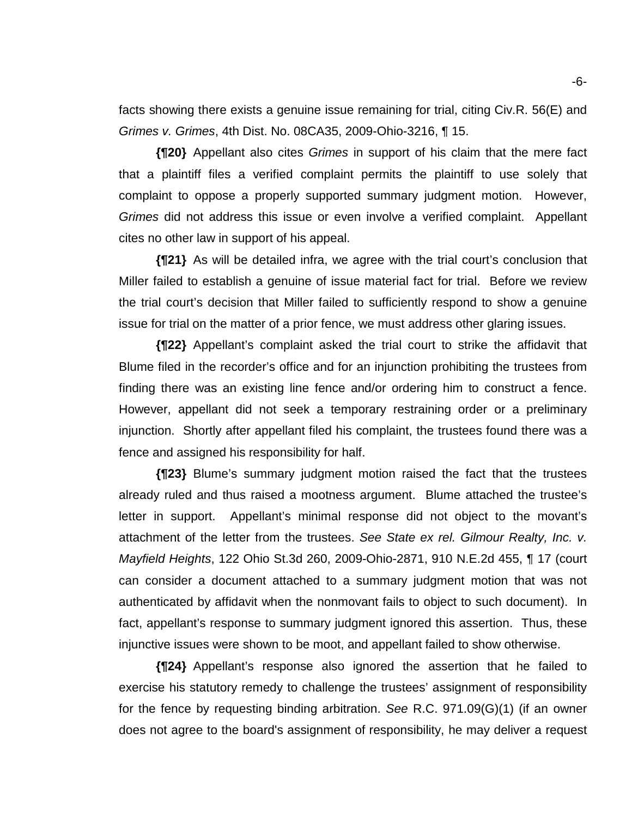facts showing there exists a genuine issue remaining for trial, citing Civ.R. 56(E) and *Grimes v. Grimes*, 4th Dist. No. 08CA35, 2009-Ohio-3216, ¶ 15.

**{¶20}** Appellant also cites *Grimes* in support of his claim that the mere fact that a plaintiff files a verified complaint permits the plaintiff to use solely that complaint to oppose a properly supported summary judgment motion. However, *Grimes* did not address this issue or even involve a verified complaint. Appellant cites no other law in support of his appeal.

**{¶21}** As will be detailed infra, we agree with the trial court's conclusion that Miller failed to establish a genuine of issue material fact for trial. Before we review the trial court's decision that Miller failed to sufficiently respond to show a genuine issue for trial on the matter of a prior fence, we must address other glaring issues.

**{¶22}** Appellant's complaint asked the trial court to strike the affidavit that Blume filed in the recorder's office and for an injunction prohibiting the trustees from finding there was an existing line fence and/or ordering him to construct a fence. However, appellant did not seek a temporary restraining order or a preliminary injunction. Shortly after appellant filed his complaint, the trustees found there was a fence and assigned his responsibility for half.

**{¶23}** Blume's summary judgment motion raised the fact that the trustees already ruled and thus raised a mootness argument. Blume attached the trustee's letter in support. Appellant's minimal response did not object to the movant's attachment of the letter from the trustees. *See State ex rel. Gilmour Realty, Inc. v. Mayfield Heights*, 122 Ohio St.3d 260, 2009-Ohio-2871, 910 N.E.2d 455, ¶ 17 (court can consider a document attached to a summary judgment motion that was not authenticated by affidavit when the nonmovant fails to object to such document). In fact, appellant's response to summary judgment ignored this assertion. Thus, these injunctive issues were shown to be moot, and appellant failed to show otherwise.

**{¶24}** Appellant's response also ignored the assertion that he failed to exercise his statutory remedy to challenge the trustees' assignment of responsibility for the fence by requesting binding arbitration. *See* R.C. 971.09(G)(1) (if an owner does not agree to the board's assignment of responsibility, he may deliver a request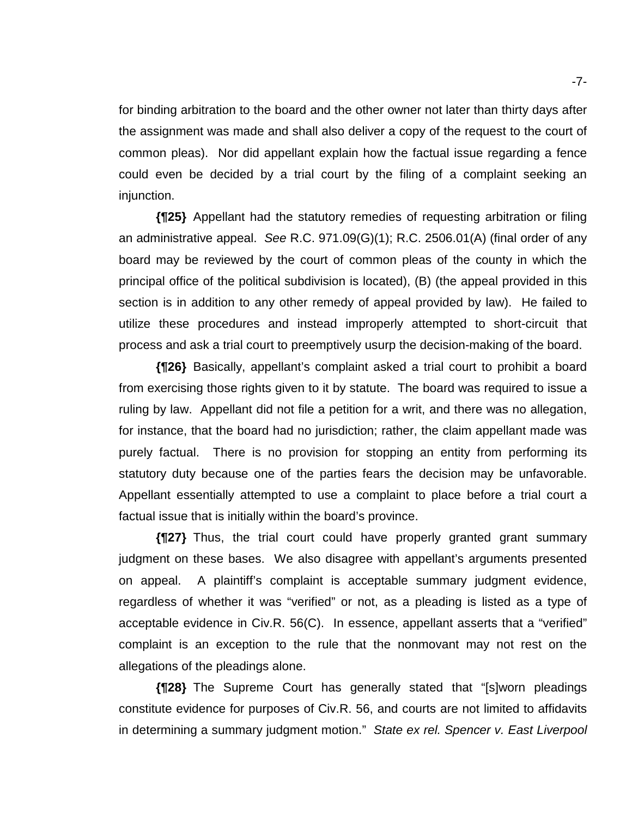for binding arbitration to the board and the other owner not later than thirty days after the assignment was made and shall also deliver a copy of the request to the court of common pleas). Nor did appellant explain how the factual issue regarding a fence could even be decided by a trial court by the filing of a complaint seeking an injunction.

**{¶25}** Appellant had the statutory remedies of requesting arbitration or filing an administrative appeal. *See* R.C. 971.09(G)(1); R.C. 2506.01(A) (final order of any board may be reviewed by the court of common pleas of the county in which the principal office of the political subdivision is located), (B) (the appeal provided in this section is in addition to any other remedy of appeal provided by law). He failed to utilize these procedures and instead improperly attempted to short-circuit that process and ask a trial court to preemptively usurp the decision-making of the board.

**{¶26}** Basically, appellant's complaint asked a trial court to prohibit a board from exercising those rights given to it by statute. The board was required to issue a ruling by law. Appellant did not file a petition for a writ, and there was no allegation, for instance, that the board had no jurisdiction; rather, the claim appellant made was purely factual. There is no provision for stopping an entity from performing its statutory duty because one of the parties fears the decision may be unfavorable. Appellant essentially attempted to use a complaint to place before a trial court a factual issue that is initially within the board's province.

**{¶27}** Thus, the trial court could have properly granted grant summary judgment on these bases. We also disagree with appellant's arguments presented on appeal. A plaintiff's complaint is acceptable summary judgment evidence, regardless of whether it was "verified" or not, as a pleading is listed as a type of acceptable evidence in Civ.R. 56(C). In essence, appellant asserts that a "verified" complaint is an exception to the rule that the nonmovant may not rest on the allegations of the pleadings alone.

**{¶28}** The Supreme Court has generally stated that "[s]worn pleadings constitute evidence for purposes of Civ.R. 56, and courts are not limited to affidavits in determining a summary judgment motion." *State ex rel. Spencer v. East Liverpool*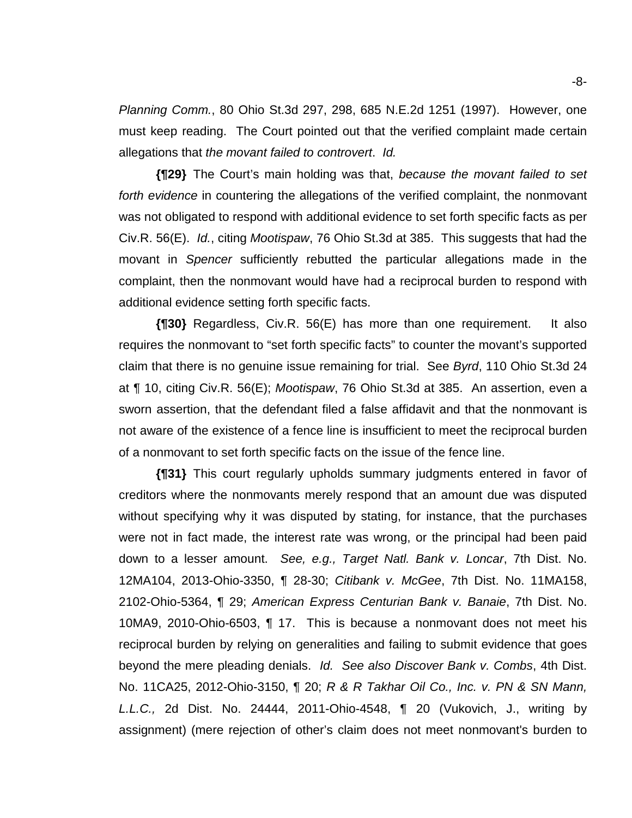*Planning Comm.*, 80 Ohio St.3d 297, 298, 685 N.E.2d 1251 (1997). However, one must keep reading. The Court pointed out that the verified complaint made certain allegations that *the movant failed to controvert*. *Id.*

**{¶29}** The Court's main holding was that, *because the movant failed to set forth evidence* in countering the allegations of the verified complaint, the nonmovant was not obligated to respond with additional evidence to set forth specific facts as per Civ.R. 56(E). *Id.*, citing *Mootispaw*, 76 Ohio St.3d at 385. This suggests that had the movant in *Spencer* sufficiently rebutted the particular allegations made in the complaint, then the nonmovant would have had a reciprocal burden to respond with additional evidence setting forth specific facts.

**{¶30}** Regardless, Civ.R. 56(E) has more than one requirement. It also requires the nonmovant to "set forth specific facts" to counter the movant's supported claim that there is no genuine issue remaining for trial. See *Byrd*, 110 Ohio St.3d 24 at ¶ 10, citing Civ.R. 56(E); *Mootispaw*, 76 Ohio St.3d at 385. An assertion, even a sworn assertion, that the defendant filed a false affidavit and that the nonmovant is not aware of the existence of a fence line is insufficient to meet the reciprocal burden of a nonmovant to set forth specific facts on the issue of the fence line.

**{¶31}** This court regularly upholds summary judgments entered in favor of creditors where the nonmovants merely respond that an amount due was disputed without specifying why it was disputed by stating, for instance, that the purchases were not in fact made, the interest rate was wrong, or the principal had been paid down to a lesser amount. *See, e.g., Target Natl. Bank v. Loncar*, 7th Dist. No. 12MA104, 2013-Ohio-3350, ¶ 28-30; *Citibank v. McGee*, 7th Dist. No. 11MA158, 2102-Ohio-5364, ¶ 29; *American Express Centurian Bank v. Banaie*, 7th Dist. No. 10MA9, 2010-Ohio-6503, ¶ 17. This is because a nonmovant does not meet his reciprocal burden by relying on generalities and failing to submit evidence that goes beyond the mere pleading denials. *Id. See also Discover Bank v. Combs*, 4th Dist. No. 11CA25, 2012-Ohio-3150, ¶ 20; *R & R Takhar Oil Co., Inc. v. PN & SN Mann, L.L.C.,* 2d Dist. No. 24444, 2011-Ohio-4548, ¶ 20 (Vukovich, J., writing by assignment) (mere rejection of other's claim does not meet nonmovant's burden to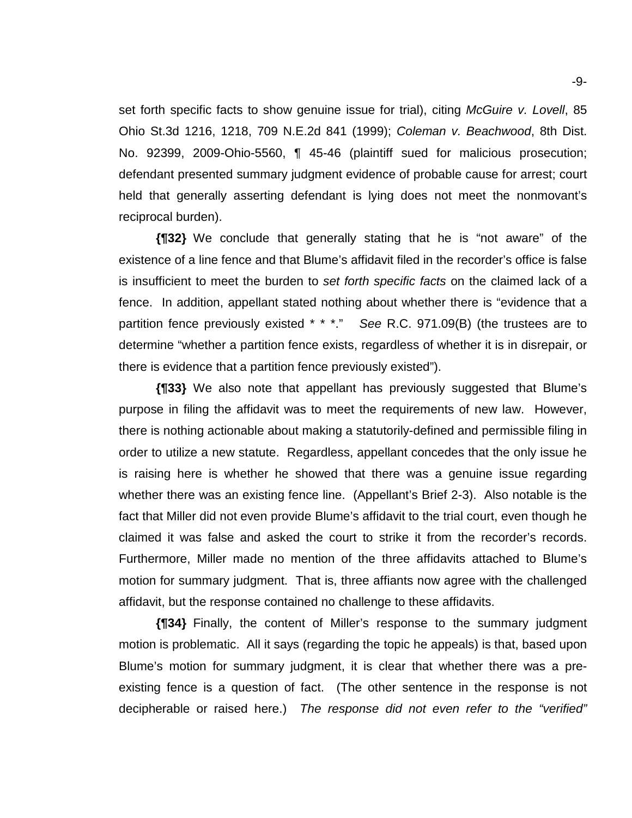set forth specific facts to show genuine issue for trial), citing *McGuire v. Lovell*, 85 Ohio St.3d 1216, 1218, 709 N.E.2d 841 (1999); *Coleman v. Beachwood*, 8th Dist. No. 92399, 2009-Ohio-5560, ¶ 45-46 (plaintiff sued for malicious prosecution; defendant presented summary judgment evidence of probable cause for arrest; court held that generally asserting defendant is lying does not meet the nonmovant's reciprocal burden).

**{¶32}** We conclude that generally stating that he is "not aware" of the existence of a line fence and that Blume's affidavit filed in the recorder's office is false is insufficient to meet the burden to *set forth specific facts* on the claimed lack of a fence. In addition, appellant stated nothing about whether there is "evidence that a partition fence previously existed \* \* \*." *See* R.C. 971.09(B) (the trustees are to determine "whether a partition fence exists, regardless of whether it is in disrepair, or there is evidence that a partition fence previously existed").

**{¶33}** We also note that appellant has previously suggested that Blume's purpose in filing the affidavit was to meet the requirements of new law. However, there is nothing actionable about making a statutorily-defined and permissible filing in order to utilize a new statute. Regardless, appellant concedes that the only issue he is raising here is whether he showed that there was a genuine issue regarding whether there was an existing fence line. (Appellant's Brief 2-3). Also notable is the fact that Miller did not even provide Blume's affidavit to the trial court, even though he claimed it was false and asked the court to strike it from the recorder's records. Furthermore, Miller made no mention of the three affidavits attached to Blume's motion for summary judgment. That is, three affiants now agree with the challenged affidavit, but the response contained no challenge to these affidavits.

**{¶34}** Finally, the content of Miller's response to the summary judgment motion is problematic. All it says (regarding the topic he appeals) is that, based upon Blume's motion for summary judgment, it is clear that whether there was a preexisting fence is a question of fact. (The other sentence in the response is not decipherable or raised here.) *The response did not even refer to the "verified"*